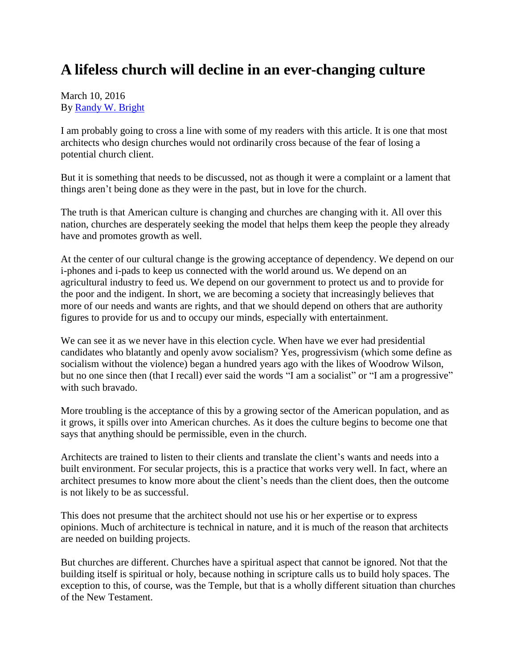## **A lifeless church will decline in an ever-changing culture**

## March 10, 2016 By [Randy W. Bright](http://www.tulsabeacon.com/author/slug-o6yd1v)

I am probably going to cross a line with some of my readers with this article. It is one that most architects who design churches would not ordinarily cross because of the fear of losing a potential church client.

But it is something that needs to be discussed, not as though it were a complaint or a lament that things aren't being done as they were in the past, but in love for the church.

The truth is that American culture is changing and churches are changing with it. All over this nation, churches are desperately seeking the model that helps them keep the people they already have and promotes growth as well.

At the center of our cultural change is the growing acceptance of dependency. We depend on our i-phones and i-pads to keep us connected with the world around us. We depend on an agricultural industry to feed us. We depend on our government to protect us and to provide for the poor and the indigent. In short, we are becoming a society that increasingly believes that more of our needs and wants are rights, and that we should depend on others that are authority figures to provide for us and to occupy our minds, especially with entertainment.

We can see it as we never have in this election cycle. When have we ever had presidential candidates who blatantly and openly avow socialism? Yes, progressivism (which some define as socialism without the violence) began a hundred years ago with the likes of Woodrow Wilson, but no one since then (that I recall) ever said the words "I am a socialist" or "I am a progressive" with such bravado.

More troubling is the acceptance of this by a growing sector of the American population, and as it grows, it spills over into American churches. As it does the culture begins to become one that says that anything should be permissible, even in the church.

Architects are trained to listen to their clients and translate the client's wants and needs into a built environment. For secular projects, this is a practice that works very well. In fact, where an architect presumes to know more about the client's needs than the client does, then the outcome is not likely to be as successful.

This does not presume that the architect should not use his or her expertise or to express opinions. Much of architecture is technical in nature, and it is much of the reason that architects are needed on building projects.

But churches are different. Churches have a spiritual aspect that cannot be ignored. Not that the building itself is spiritual or holy, because nothing in scripture calls us to build holy spaces. The exception to this, of course, was the Temple, but that is a wholly different situation than churches of the New Testament.